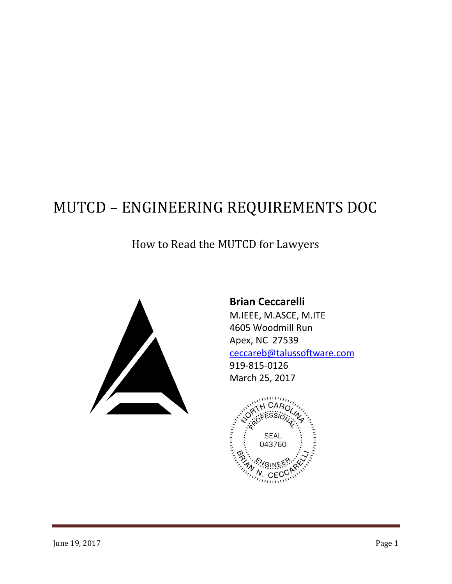# MUTCD – ENGINEERING REQUIREMENTS DOC

## How to Read the MUTCD for Lawyers



**Brian Ceccarelli** M.IEEE, M.ASCE, M.ITE 4605 Woodmill Run Apex, NC 27539 [ceccareb@talussoftware.com](mailto:ceccareb@talussoftware.com) 919-815-0126 March 25, 2017

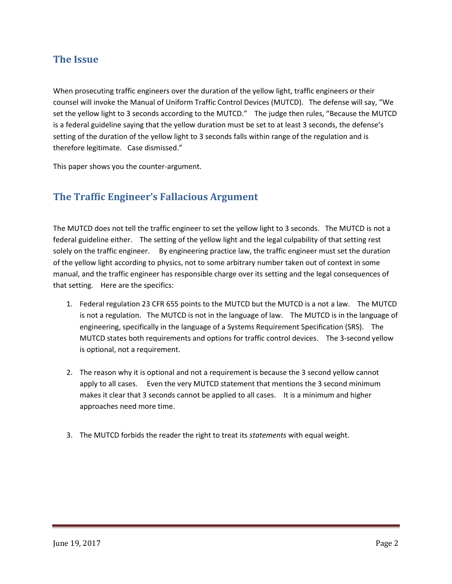#### **The Issue**

When prosecuting traffic engineers over the duration of the yellow light, traffic engineers or their counsel will invoke the Manual of Uniform Traffic Control Devices (MUTCD). The defense will say, "We set the yellow light to 3 seconds according to the MUTCD." The judge then rules, "Because the MUTCD is a federal guideline saying that the yellow duration must be set to at least 3 seconds, the defense's setting of the duration of the yellow light to 3 seconds falls within range of the regulation and is therefore legitimate. Case dismissed."

This paper shows you the counter-argument.

## **The Traffic Engineer's Fallacious Argument**

The MUTCD does not tell the traffic engineer to set the yellow light to 3 seconds. The MUTCD is not a federal guideline either. The setting of the yellow light and the legal culpability of that setting rest solely on the traffic engineer. By engineering practice law, the traffic engineer must set the duration of the yellow light according to physics, not to some arbitrary number taken out of context in some manual, and the traffic engineer has responsible charge over its setting and the legal consequences of that setting. Here are the specifics:

- 1. Federal regulation 23 CFR 655 points to the MUTCD but the MUTCD is a not a law. The MUTCD is not a regulation. The MUTCD is not in the language of law. The MUTCD is in the language of engineering, specifically in the language of a Systems Requirement Specification (SRS). The MUTCD states both requirements and options for traffic control devices. The 3-second yellow is optional, not a requirement.
- 2. The reason why it is optional and not a requirement is because the 3 second yellow cannot apply to all cases. Even the very MUTCD statement that mentions the 3 second minimum makes it clear that 3 seconds cannot be applied to all cases. It is a minimum and higher approaches need more time.
- 3. The MUTCD forbids the reader the right to treat its *statements* with equal weight.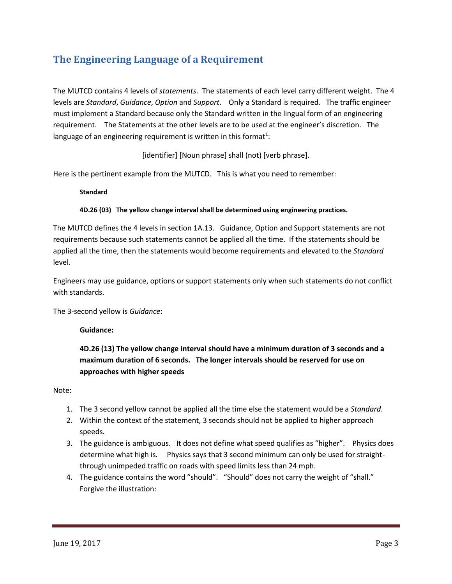## **The Engineering Language of a Requirement**

The MUTCD contains 4 levels of *statements*. The statements of each level carry different weight. The 4 levels are *Standard*, *Guidance*, *Option* and *Support*. Only a Standard is required. The traffic engineer must implement a Standard because only the Standard written in the lingual form of an engineering requirement. The Statements at the other levels are to be used at the engineer's discretion. The language of an engineering requirement is written in this format<sup>1</sup>:

[identifier] [Noun phrase] shall (not) [verb phrase].

Here is the pertinent example from the MUTCD. This is what you need to remember:

**Standard**

#### **4D.26 (03) The yellow change interval shall be determined using engineering practices.**

The MUTCD defines the 4 levels in section 1A.13. Guidance, Option and Support statements are not requirements because such statements cannot be applied all the time. If the statements should be applied all the time, then the statements would become requirements and elevated to the *Standard* level.

Engineers may use guidance, options or support statements only when such statements do not conflict with standards.

The 3-second yellow is *Guidance*:

#### **Guidance:**

**4D.26 (13) The yellow change interval should have a minimum duration of 3 seconds and a maximum duration of 6 seconds. The longer intervals should be reserved for use on approaches with higher speeds**

Note:

- 1. The 3 second yellow cannot be applied all the time else the statement would be a *Standard*.
- 2. Within the context of the statement, 3 seconds should not be applied to higher approach speeds.
- 3. The guidance is ambiguous. It does not define what speed qualifies as "higher". Physics does determine what high is. Physics says that 3 second minimum can only be used for straightthrough unimpeded traffic on roads with speed limits less than 24 mph.
- 4. The guidance contains the word "should". "Should" does not carry the weight of "shall." Forgive the illustration: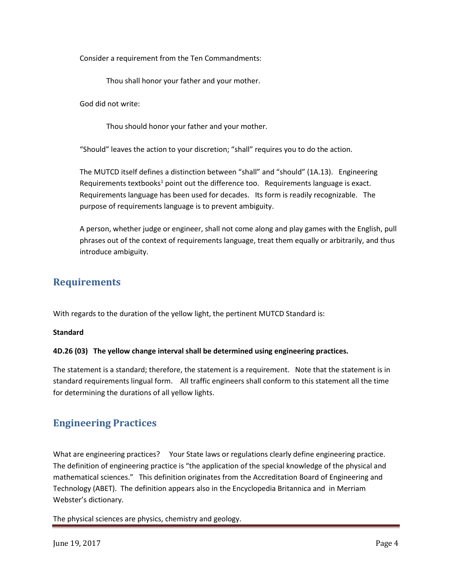Consider a requirement from the Ten Commandments:

Thou shall honor your father and your mother.

God did not write:

Thou should honor your father and your mother.

"Should" leaves the action to your discretion; "shall" requires you to do the action.

The MUTCD itself defines a distinction between "shall" and "should" (1A.13). Engineering Requirements textbooks<sup>1</sup> point out the difference too. Requirements language is exact. Requirements language has been used for decades. Its form is readily recognizable. The purpose of requirements language is to prevent ambiguity.

A person, whether judge or engineer, shall not come along and play games with the English, pull phrases out of the context of requirements language, treat them equally or arbitrarily, and thus introduce ambiguity.

#### **Requirements**

With regards to the duration of the yellow light, the pertinent MUTCD Standard is:

#### **Standard**

#### **4D.26 (03) The yellow change interval shall be determined using engineering practices.**

The statement is a standard; therefore, the statement is a requirement. Note that the statement is in standard requirements lingual form. All traffic engineers shall conform to this statement all the time for determining the durations of all yellow lights.

#### **Engineering Practices**

What are engineering practices? Your State laws or regulations clearly define engineering practice. The definition of engineering practice is "the application of the special knowledge of the physical and mathematical sciences." This definition originates from the Accreditation Board of Engineering and Technology (ABET). The definition appears also in the Encyclopedia Britannica and in Merriam Webster's dictionary.

The physical sciences are physics, chemistry and geology.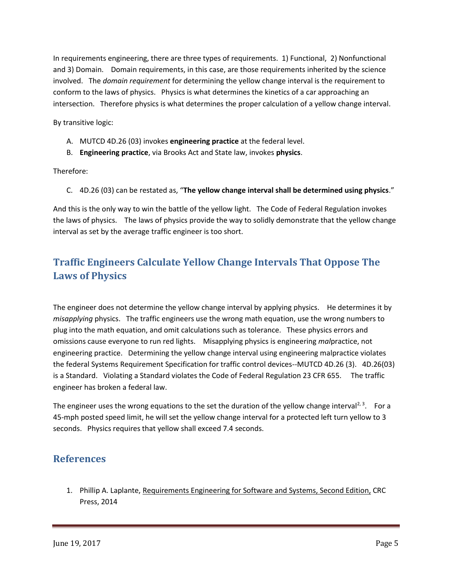In requirements engineering, there are three types of requirements. 1) Functional, 2) Nonfunctional and 3) Domain. Domain requirements, in this case, are those requirements inherited by the science involved. The *domain requirement* for determining the yellow change interval is the requirement to conform to the laws of physics. Physics is what determines the kinetics of a car approaching an intersection. Therefore physics is what determines the proper calculation of a yellow change interval.

By transitive logic:

- A. MUTCD 4D.26 (03) invokes **engineering practice** at the federal level.
- B. **Engineering practice**, via Brooks Act and State law, invokes **physics**.

Therefore:

C. 4D.26 (03) can be restated as, "**The yellow change interval shall be determined using physics**."

And this is the only way to win the battle of the yellow light. The Code of Federal Regulation invokes the laws of physics. The laws of physics provide the way to solidly demonstrate that the yellow change interval as set by the average traffic engineer is too short.

## **Traffic Engineers Calculate Yellow Change Intervals That Oppose The Laws of Physics**

The engineer does not determine the yellow change interval by applying physics. He determines it by *misapplying* physics. The traffic engineers use the wrong math equation, use the wrong numbers to plug into the math equation, and omit calculations such as tolerance. These physics errors and omissions cause everyone to run red lights. Misapplying physics is engineering *mal*practice, not engineering practice. Determining the yellow change interval using engineering malpractice violates the federal Systems Requirement Specification for traffic control devices--MUTCD 4D.26 (3). 4D.26(03) is a Standard. Violating a Standard violates the Code of Federal Regulation 23 CFR 655. The traffic engineer has broken a federal law.

The engineer uses the wrong equations to the set the duration of the yellow change interval<sup>2, 3</sup>. For a 45-mph posted speed limit, he will set the yellow change interval for a protected left turn yellow to 3 seconds. Physics requires that yellow shall exceed 7.4 seconds.

## **References**

1. Phillip A. Laplante, Requirements Engineering for Software and Systems, Second Edition, CRC Press, 2014